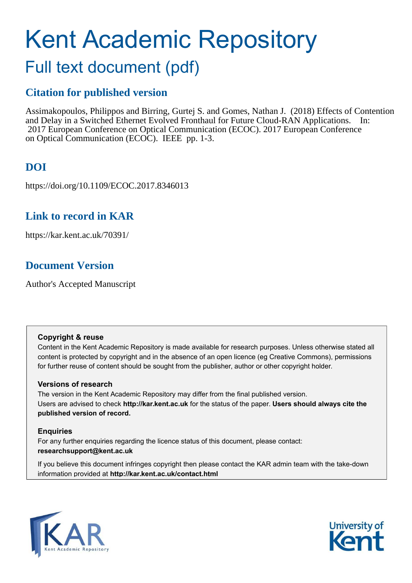# Kent Academic Repository

# Full text document (pdf)

# **Citation for published version**

Assimakopoulos, Philippos and Birring, Gurtej S. and Gomes, Nathan J. (2018) Effects of Contention and Delay in a Switched Ethernet Evolved Fronthaul for Future Cloud-RAN Applications. In: 2017 European Conference on Optical Communication (ECOC). 2017 European Conference on Optical Communication (ECOC). IEEE pp. 1-3.

# **DOI**

https://doi.org/10.1109/ECOC.2017.8346013

# **Link to record in KAR**

https://kar.kent.ac.uk/70391/

# **Document Version**

Author's Accepted Manuscript

## **Copyright & reuse**

Content in the Kent Academic Repository is made available for research purposes. Unless otherwise stated all content is protected by copyright and in the absence of an open licence (eg Creative Commons), permissions for further reuse of content should be sought from the publisher, author or other copyright holder.

## **Versions of research**

The version in the Kent Academic Repository may differ from the final published version. Users are advised to check **http://kar.kent.ac.uk** for the status of the paper. **Users should always cite the published version of record.**

## **Enquiries**

For any further enquiries regarding the licence status of this document, please contact: **researchsupport@kent.ac.uk**

If you believe this document infringes copyright then please contact the KAR admin team with the take-down information provided at **http://kar.kent.ac.uk/contact.html**



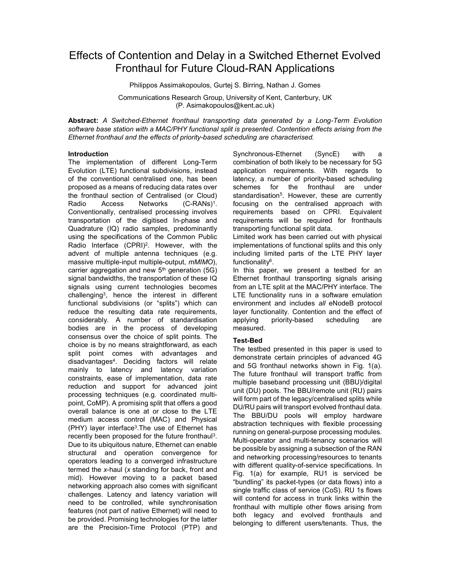## Effects of Contention and Delay in a Switched Ethernet Evolved Fronthaul for Future Cloud-RAN Applications

Philippos Assimakopoulos, Gurtej S. Birring, Nathan J. Gomes

Communications Research Group, University of Kent, Canterbury, UK (P. Asimakopoulos@kent.ac.uk)

Abstract: A Switched-Ethernet fronthaul transporting data generated by a Long-Term Evolution software base station with a MAC/PHY functional split is presented. Contention effects arising from the Ethernet fronthaul and the effects of priority-based scheduling are characterised.

### Introduction

The implementation of different Long-Term Evolution (LTE) functional subdivisions, instead of the conventional centralised one, has been proposed as a means of reducing data rates over the fronthaul section of Centralised (or Cloud)<br>Radio Access Networks (C-RANs)<sup>1</sup>. Radio Access Networks (C-RANs)<sup>1</sup> . Conventionally, centralised processing involves transportation of the digitised In-phase and Quadrature (IQ) radio samples, predominantly using the specifications of the Common Public Radio Interface (CPRI)<sup>2</sup> . However, with the advent of multiple antenna techniques (e.g. massive multiple-input multiple-output, mMIMO), carrier aggregation and new  $5<sup>th</sup>$  generation (5G) signal bandwidths, the transportation of these IQ signals using current technologies becomes challenging<sup>3</sup> , hence the interest in different functional subdivisions (or "splits") which can reduce the resulting data rate requirements, considerably. A number of standardisation bodies are in the process of developing consensus over the choice of split points. The choice is by no means straightforward, as each split point comes with advantages and disadvantages<sup>4</sup> . Deciding factors will relate mainly to latency and latency variation constraints, ease of implementation, data rate reduction and support for advanced joint processing techniques (e.g. coordinated multipoint, CoMP). A promising split that offers a good overall balance is one at or close to the LTE medium access control (MAC) and Physical (PHY) layer interface<sup>3</sup> .The use of Ethernet has recently been proposed for the future fronthaul<sup>3</sup>. Due to its ubiquitous nature, Ethernet can enable structural and operation convergence for operators leading to a converged infrastructure termed the x-haul (x standing for back, front and mid). However moving to a packet based networking approach also comes with significant challenges. Latency and latency variation will need to be controlled, while synchronisation features (not part of native Ethernet) will need to be provided. Promising technologies for the latter are the Precision-Time Protocol (PTP) and Synchronous-Ethernet (SyncE) with a combination of both likely to be necessary for 5G application requirements. With regards to latency, a number of priority-based scheduling schemes for the fronthaul are under standardisation<sup>5</sup>. However, these are currently focusing on the centralised approach with requirements based on CPRI. Equivalent requirements will be required for fronthauls transporting functional split data.

Limited work has been carried out with physical implementations of functional splits and this only including limited parts of the LTE PHY layer functionality<sup>6</sup> .

In this paper, we present a testbed for an Ethernet fronthaul transporting signals arising from an LTE split at the MAC/PHY interface. The LTE functionality runs in a software emulation environment and includes all eNodeB protocol layer functionality. Contention and the effect of applying priority-based scheduling are measured.

## Test-Bed

The testbed presented in this paper is used to demonstrate certain principles of advanced 4G and 5G fronthaul networks shown in Fig. 1(a). The future fronthaul will transport traffic from multiple baseband processing unit (BBU)/digital unit (DU) pools. The BBU/remote unit (RU) pairs will form part of the legacy/centralised splits while DU/RU pairs will transport evolved fronthaul data. The BBU/DU pools will employ hardware abstraction techniques with flexible processing running on general-purpose processing modules. Multi-operator and multi-tenancy scenarios will be possible by assigning a subsection of the RAN and networking processing/resources to tenants with different quality-of-service specifications. In Fig. 1(a) for example, RU1 is serviced be "bundling" its packet-types (or data flows) into a single traffic class of service (CoS). RU 1s flows will contend for access in trunk links within the fronthaul with multiple other flows arising from both legacy and evolved fronthauls and belonging to different users/tenants. Thus, the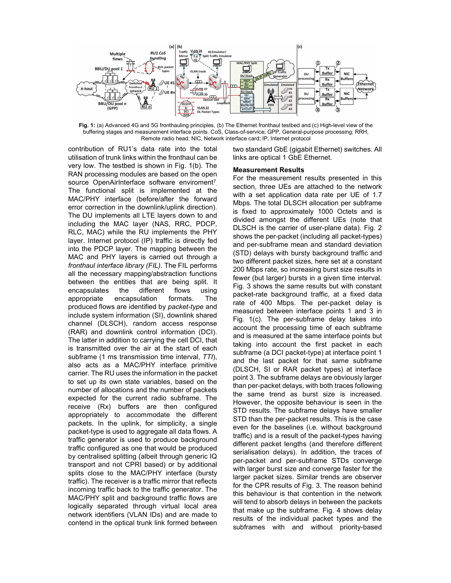

Fig. 1: (a) Advanced 4G and 5G fronthauling principles, (b) The Ethernet fronthaul testbed and (c) High-level view of the buffering stages and measurement interface points. CoS, Class-of-service; GPP, General-purpose processing; RRH, Remote radio head; NIC, Network interface card; IP, Internet protocol

contribution of RU1's data rate into the total utilisation of trunk links within the fronthaul can be very low. The testbed is shown in Fig. 1(b). The RAN processing modules are based on the open source OpenAirInterface software enviroment<sup>7</sup> The functional split is implemented at the MAC/PHY interface (before/after the forward error correction in the downlink/uplink direction). The DU implements all LTE layers down to and including the MAC layer (NAS, RRC, PDCP, RLC, MAC) while the RU implements the PHY layer. Internet protocol (IP) traffic is directly fed into the PDCP layer. The mapping between the MAC and PHY layers is carried out through a fronthaul interface library (FIL). The FIL performs all the necessary mapping/abstraction functions between the entities that are being split. It encapsulates the different flows using appropriate encapsulation formats. The produced flows are identified by packet-type and include system information (SI), downlink shared channel (DLSCH), random access response (RAR) and downlink control information (DCI). The latter in addition to carrying the cell DCI, that is transmitted over the air at the start of each subframe (1 ms transmission time interval, TTI), also acts as a MAC/PHY interface primitive carrier. The RU uses the information in the packet to set up its own state variables, based on the number of allocations and the number of packets expected for the current radio subframe. The receive (Rx) buffers are then configured appropriately to accommodate the different packets. In the uplink, for simplicity, a single packet-type is used to aggregate all data flows. A traffic generator is used to produce background traffic configured as one that would be produced by centralised splitting (albeit through generic IQ transport and not CPRI based) or by additional splits close to the MAC/PHY interface (bursty traffic). The receiver is a traffic mirror that reflects incoming traffic back to the traffic generator. The MAC/PHY split and background traffic flows are logically separated through virtual local area network identifiers (VLAN IDs) and are made to contend in the optical trunk link formed between two standard GbE (gigabit Ethernet) switches. All links are optical 1 GbE Ethernet.

#### Measurement Results

For the measurement results presented in this section, three UEs are attached to the network with a set application data rate per UE of 1.7 Mbps. The total DLSCH allocation per subframe is fixed to approximately 1000 Octets and is divided amongst the different UEs (note that DLSCH is the carrier of user-plane data). Fig. 2 shows the per-packet (including all packet-types) and per-subframe mean and standard deviation (STD) delays with bursty background traffic and two different packet sizes, here set at a constant 200 Mbps rate, so increasing burst size results in fewer (but larger) bursts in a given time interval. Fig. 3 shows the same results but with constant packet-rate background traffic, at a fixed data rate of 400 Mbps. The per-packet delay is measured between interface points 1 and 3 in Fig. 1(c). The per-subframe delay takes into account the processing time of each subframe and is measured at the same interface points but taking into account the first packet in each subframe (a DCI packet-type) at interface point 1 and the last packet for that same subframe (DLSCH, SI or RAR packet types) at interface point 3. The subframe delays are obviously larger than per-packet delays, with both traces following the same trend as burst size is increased. However, the opposite behaviour is seen in the STD results. The subframe delays have smaller STD than the per-packet results. This is the case even for the baselines (i.e. without background traffic) and is a result of the packet-types having different packet lengths (and therefore different serialisation delays). In addition, the traces of per-packet and per-subframe STDs converge with larger burst size and converge faster for the larger packet sizes. Similar trends are observer for the CPR results of Fig. 3. The reason behind this behaviour is that contention in the network will tend to absorb delays in between the packets that make up the subframe. Fig. 4 shows delay results of the individual packet types and the subframes with and without priority-based